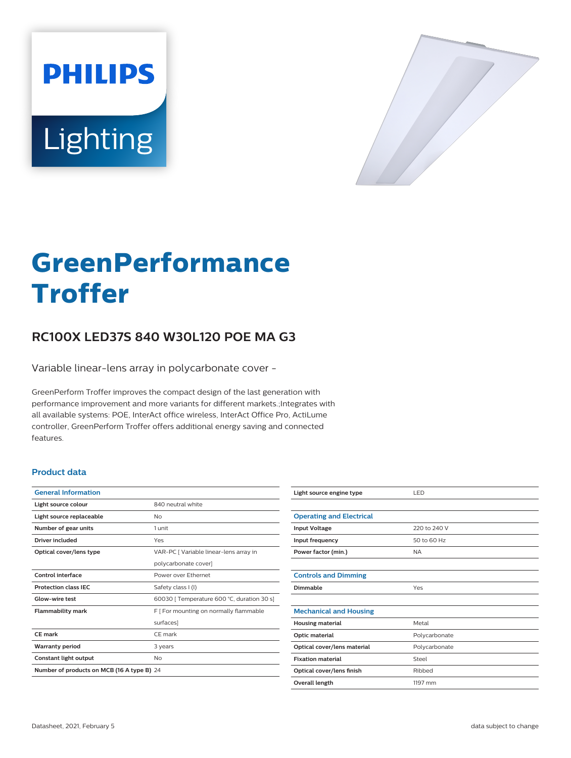



# **GreenPerformance Troffer**

## **RC100X LED37S 840 W30L120 POE MA G3**

Variable linear-lens array in polycarbonate cover -

GreenPerform Troffer improves the compact design of the last generation with performance improvement and more variants for different markets.;Integrates with all available systems: POE, InterAct office wireless, InterAct Office Pro, ActiLume controller, GreenPerform Troffer offers additional energy saving and connected features.

#### **Product data**

| <b>General Information</b>                 |                                            |  |
|--------------------------------------------|--------------------------------------------|--|
| Light source colour                        | 840 neutral white                          |  |
| Light source replaceable                   | Nο                                         |  |
| Number of gear units                       | 1 unit                                     |  |
| Driver included                            | Yes                                        |  |
| Optical cover/lens type                    | VAR-PC [ Variable linear-lens array in     |  |
|                                            | polycarbonate cover]                       |  |
| <b>Control interface</b>                   | Power over Ethernet                        |  |
| <b>Protection class IEC</b>                | Safety class I (I)                         |  |
| Glow-wire test                             | 60030 [ Temperature 600 °C, duration 30 s] |  |
| <b>Flammability mark</b>                   | F   For mounting on normally flammable     |  |
|                                            | surfaces]                                  |  |
| CE mark                                    | CE mark                                    |  |
| <b>Warranty period</b>                     | 3 years                                    |  |
| Constant light output                      | No                                         |  |
| Number of products on MCB (16 A type B) 24 |                                            |  |
|                                            |                                            |  |

| Light source engine type        | LED           |
|---------------------------------|---------------|
|                                 |               |
| <b>Operating and Electrical</b> |               |
| <b>Input Voltage</b>            | 220 to 240 V  |
| Input frequency                 | 50 to 60 Hz   |
| Power factor (min.)             | <b>NA</b>     |
|                                 |               |
| <b>Controls and Dimming</b>     |               |
| <b>Dimmable</b>                 | Yes           |
|                                 |               |
| <b>Mechanical and Housing</b>   |               |
| <b>Housing material</b>         | Metal         |
| Optic material                  | Polycarbonate |
| Optical cover/lens material     | Polycarbonate |
| <b>Fixation material</b>        | Steel         |
| Optical cover/lens finish       | Ribbed        |
| Overall length                  | 1197 mm       |
|                                 |               |